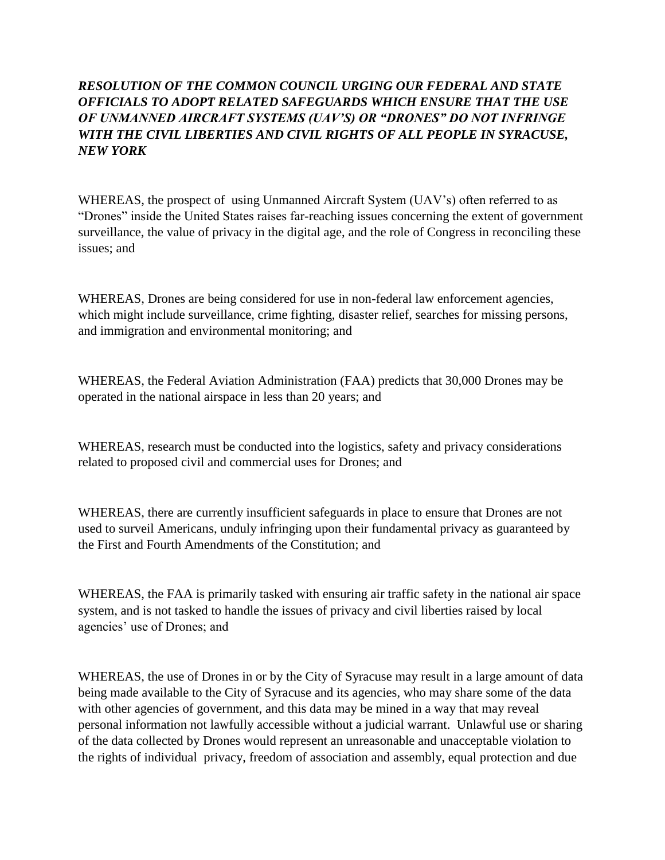## *RESOLUTION OF THE COMMON COUNCIL URGING OUR FEDERAL AND STATE OFFICIALS TO ADOPT RELATED SAFEGUARDS WHICH ENSURE THAT THE USE OF UNMANNED AIRCRAFT SYSTEMS (UAV'S) OR "DRONES" DO NOT INFRINGE WITH THE CIVIL LIBERTIES AND CIVIL RIGHTS OF ALL PEOPLE IN SYRACUSE, NEW YORK*

WHEREAS, the prospect of using Unmanned Aircraft System (UAV's) often referred to as "Drones" inside the United States raises far-reaching issues concerning the extent of government surveillance, the value of privacy in the digital age, and the role of Congress in reconciling these issues; and

WHEREAS, Drones are being considered for use in non-federal law enforcement agencies, which might include surveillance, crime fighting, disaster relief, searches for missing persons, and immigration and environmental monitoring; and

WHEREAS, the Federal Aviation Administration (FAA) predicts that 30,000 Drones may be operated in the national airspace in less than 20 years; and

WHEREAS, research must be conducted into the logistics, safety and privacy considerations related to proposed civil and commercial uses for Drones; and

WHEREAS, there are currently insufficient safeguards in place to ensure that Drones are not used to surveil Americans, unduly infringing upon their fundamental privacy as guaranteed by the First and Fourth Amendments of the Constitution; and

WHEREAS, the FAA is primarily tasked with ensuring air traffic safety in the national air space system, and is not tasked to handle the issues of privacy and civil liberties raised by local agencies' use of Drones; and

WHEREAS, the use of Drones in or by the City of Syracuse may result in a large amount of data being made available to the City of Syracuse and its agencies, who may share some of the data with other agencies of government, and this data may be mined in a way that may reveal personal information not lawfully accessible without a judicial warrant. Unlawful use or sharing of the data collected by Drones would represent an unreasonable and unacceptable violation to the rights of individual privacy, freedom of association and assembly, equal protection and due